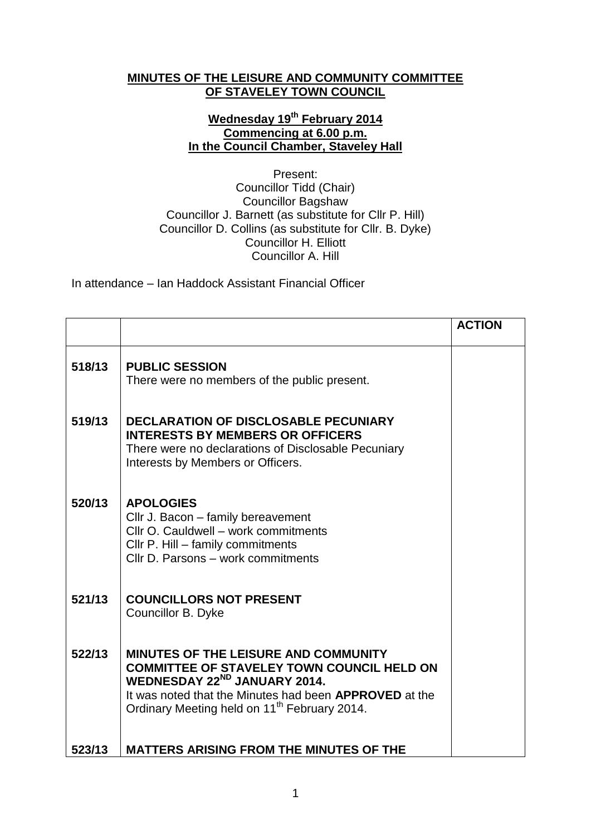## **MINUTES OF THE LEISURE AND COMMUNITY COMMITTEE OF STAVELEY TOWN COUNCIL**

## **Wednesday 19th February 2014 Commencing at 6.00 p.m. In the Council Chamber, Staveley Hall**

Present: Councillor Tidd (Chair) Councillor Bagshaw Councillor J. Barnett (as substitute for Cllr P. Hill) Councillor D. Collins (as substitute for Cllr. B. Dyke) Councillor H. Elliott Councillor A. Hill

In attendance – Ian Haddock Assistant Financial Officer

|        |                                                                                                                                                                                                                                                                           | <b>ACTION</b> |
|--------|---------------------------------------------------------------------------------------------------------------------------------------------------------------------------------------------------------------------------------------------------------------------------|---------------|
| 518/13 | <b>PUBLIC SESSION</b><br>There were no members of the public present.                                                                                                                                                                                                     |               |
| 519/13 | <b>DECLARATION OF DISCLOSABLE PECUNIARY</b><br><b>INTERESTS BY MEMBERS OR OFFICERS</b><br>There were no declarations of Disclosable Pecuniary<br>Interests by Members or Officers.                                                                                        |               |
| 520/13 | <b>APOLOGIES</b><br>Cllr J. Bacon - family bereavement<br>Cllr O. Cauldwell - work commitments<br>Cllr P. Hill - family commitments<br>Cllr D. Parsons - work commitments                                                                                                 |               |
| 521/13 | <b>COUNCILLORS NOT PRESENT</b><br>Councillor B. Dyke                                                                                                                                                                                                                      |               |
| 522/13 | <b>MINUTES OF THE LEISURE AND COMMUNITY</b><br><b>COMMITTEE OF STAVELEY TOWN COUNCIL HELD ON</b><br>WEDNESDAY 22 <sup>ND</sup> JANUARY 2014.<br>It was noted that the Minutes had been <b>APPROVED</b> at the<br>Ordinary Meeting held on 11 <sup>th</sup> February 2014. |               |
| 523/13 | <b>MATTERS ARISING FROM THE MINUTES OF THE</b>                                                                                                                                                                                                                            |               |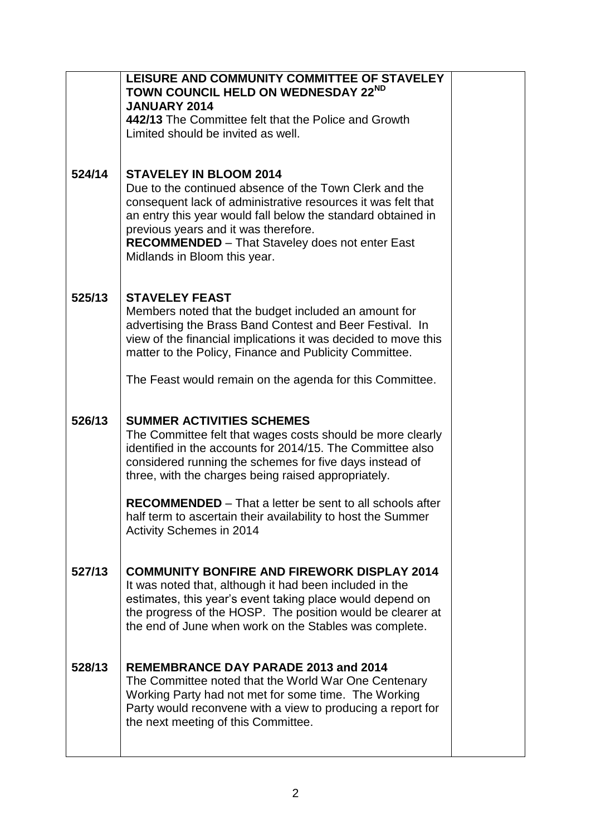|        | LEISURE AND COMMUNITY COMMITTEE OF STAVELEY<br>TOWN COUNCIL HELD ON WEDNESDAY 22ND                                           |  |
|--------|------------------------------------------------------------------------------------------------------------------------------|--|
|        | <b>JANUARY 2014</b>                                                                                                          |  |
|        | 442/13 The Committee felt that the Police and Growth                                                                         |  |
|        | Limited should be invited as well.                                                                                           |  |
|        |                                                                                                                              |  |
| 524/14 | <b>STAVELEY IN BLOOM 2014</b>                                                                                                |  |
|        | Due to the continued absence of the Town Clerk and the                                                                       |  |
|        | consequent lack of administrative resources it was felt that<br>an entry this year would fall below the standard obtained in |  |
|        | previous years and it was therefore.                                                                                         |  |
|        | RECOMMENDED - That Staveley does not enter East                                                                              |  |
|        | Midlands in Bloom this year.                                                                                                 |  |
|        |                                                                                                                              |  |
| 525/13 | <b>STAVELEY FEAST</b>                                                                                                        |  |
|        | Members noted that the budget included an amount for<br>advertising the Brass Band Contest and Beer Festival. In             |  |
|        | view of the financial implications it was decided to move this                                                               |  |
|        | matter to the Policy, Finance and Publicity Committee.                                                                       |  |
|        | The Feast would remain on the agenda for this Committee.                                                                     |  |
|        |                                                                                                                              |  |
| 526/13 | <b>SUMMER ACTIVITIES SCHEMES</b>                                                                                             |  |
|        |                                                                                                                              |  |
|        |                                                                                                                              |  |
|        | The Committee felt that wages costs should be more clearly<br>identified in the accounts for 2014/15. The Committee also     |  |
|        | considered running the schemes for five days instead of                                                                      |  |
|        | three, with the charges being raised appropriately.                                                                          |  |
|        | <b>RECOMMENDED</b> – That a letter be sent to all schools after                                                              |  |
|        | half term to ascertain their availability to host the Summer                                                                 |  |
|        | <b>Activity Schemes in 2014</b>                                                                                              |  |
|        |                                                                                                                              |  |
| 527/13 | <b>COMMUNITY BONFIRE AND FIREWORK DISPLAY 2014</b>                                                                           |  |
|        | It was noted that, although it had been included in the<br>estimates, this year's event taking place would depend on         |  |
|        | the progress of the HOSP. The position would be clearer at                                                                   |  |
|        | the end of June when work on the Stables was complete.                                                                       |  |
|        |                                                                                                                              |  |
| 528/13 | <b>REMEMBRANCE DAY PARADE 2013 and 2014</b>                                                                                  |  |
|        | The Committee noted that the World War One Centenary                                                                         |  |
|        | Working Party had not met for some time. The Working<br>Party would reconvene with a view to producing a report for          |  |
|        | the next meeting of this Committee.                                                                                          |  |